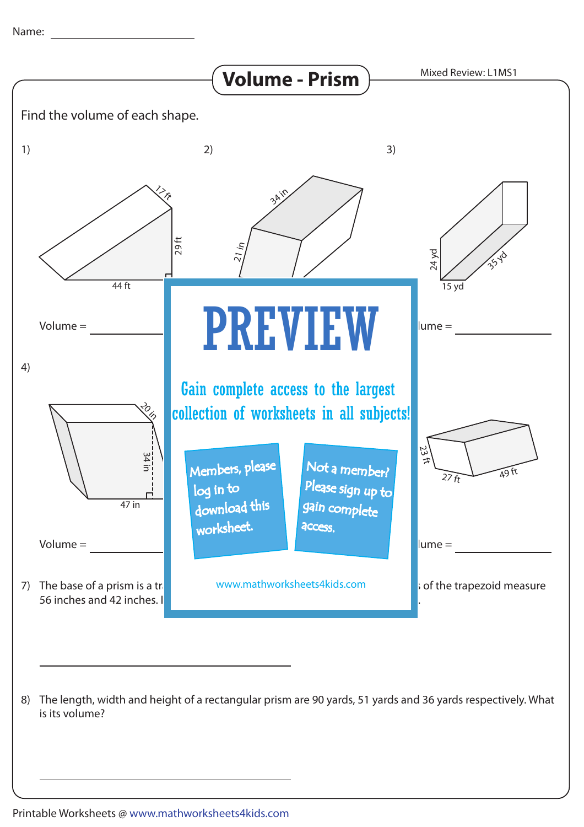